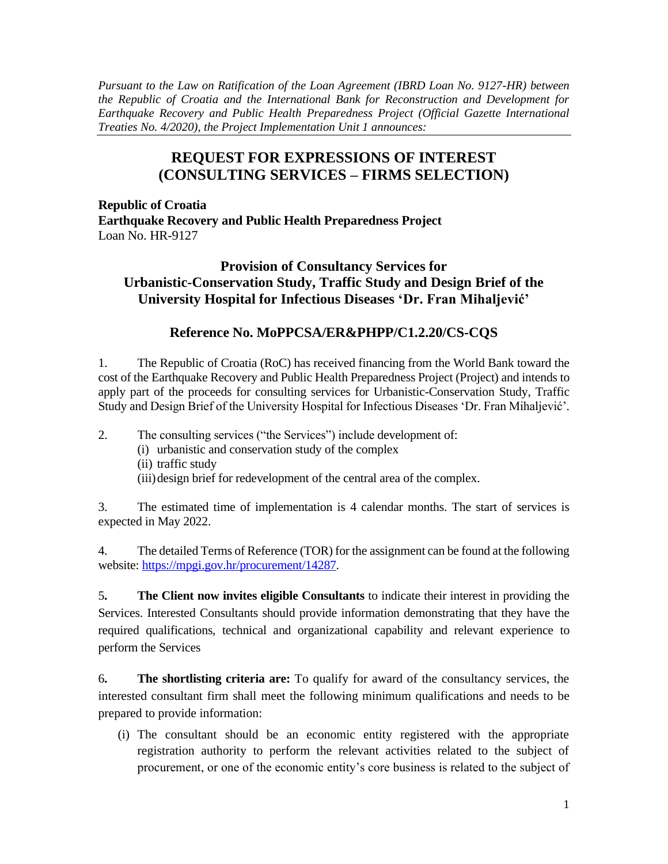*Pursuant to the Law on Ratification of the Loan Agreement (IBRD Loan No. 9127-HR) between the Republic of Croatia and the International Bank for Reconstruction and Development for Earthquake Recovery and Public Health Preparedness Project (Official Gazette International Treaties No. 4/2020), the Project Implementation Unit 1 announces:*

## **REQUEST FOR EXPRESSIONS OF INTEREST (CONSULTING SERVICES – FIRMS SELECTION)**

**Republic of Croatia Earthquake Recovery and Public Health Preparedness Project** Loan No. HR-9127

**Provision of Consultancy Services for Urbanistic-Conservation Study, Traffic Study and Design Brief of the University Hospital for Infectious Diseases 'Dr. Fran Mihaljević'**

## **Reference No. MoPPCSA/ER&PHPP/C1.2.20/CS-CQS**

1. The Republic of Croatia (RoC) has received financing from the World Bank toward the cost of the Earthquake Recovery and Public Health Preparedness Project (Project) and intends to apply part of the proceeds for consulting services for Urbanistic-Conservation Study, Traffic Study and Design Brief of the University Hospital for Infectious Diseases 'Dr. Fran Mihaljević'.

2. The consulting services ("the Services") include development of:

(i) urbanistic and conservation study of the complex

(ii) traffic study

(iii)design brief for redevelopment of the central area of the complex.

3. The estimated time of implementation is 4 calendar months. The start of services is expected in May 2022.

4. The detailed Terms of Reference (TOR) for the assignment can be found at the following website: [https://mpgi.gov.hr/procurement/14287.](https://mpgi.gov.hr/procurement/14287)

5**. The Client now invites eligible Consultants** to indicate their interest in providing the Services. Interested Consultants should provide information demonstrating that they have the required qualifications, technical and organizational capability and relevant experience to perform the Services

6**. The shortlisting criteria are:** To qualify for award of the consultancy services, the interested consultant firm shall meet the following minimum qualifications and needs to be prepared to provide information:

(i) The consultant should be an economic entity registered with the appropriate registration authority to perform the relevant activities related to the subject of procurement, or one of the economic entity's core business is related to the subject of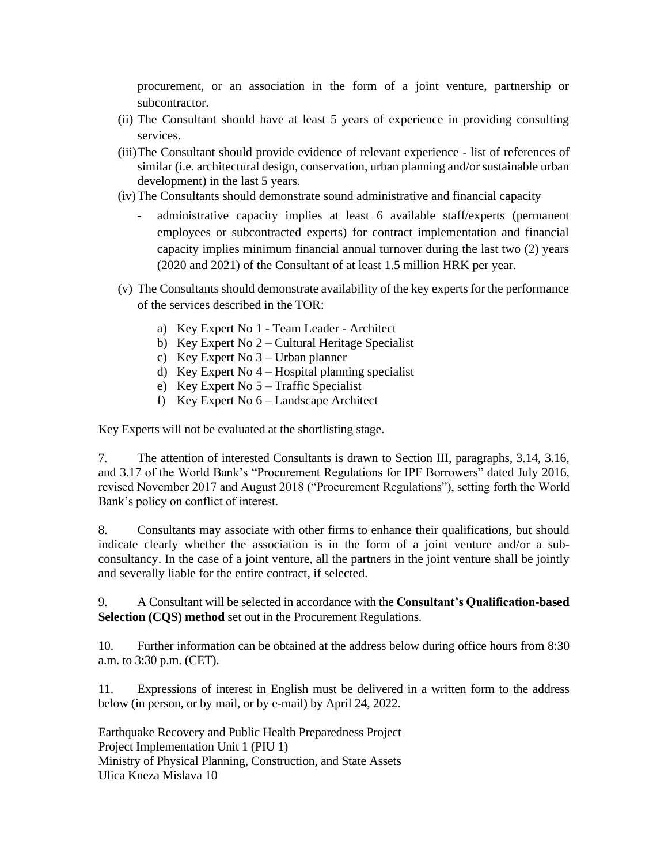procurement, or an association in the form of a joint venture, partnership or subcontractor.

- (ii) The Consultant should have at least 5 years of experience in providing consulting services.
- (iii)The Consultant should provide evidence of relevant experience list of references of similar (i.e. architectural design, conservation, urban planning and/or sustainable urban development) in the last 5 years.
- (iv)The Consultants should demonstrate sound administrative and financial capacity
	- administrative capacity implies at least 6 available staff/experts (permanent employees or subcontracted experts) for contract implementation and financial capacity implies minimum financial annual turnover during the last two (2) years (2020 and 2021) of the Consultant of at least 1.5 million HRK per year.
- (v) The Consultants should demonstrate availability of the key experts for the performance of the services described in the TOR:
	- a) Key Expert No 1 Team Leader Architect
	- b) Key Expert No 2 Cultural Heritage Specialist
	- c) Key Expert No 3 Urban planner
	- d) Key Expert No 4 Hospital planning specialist
	- e) Key Expert No 5 Traffic Specialist
	- f) Key Expert No 6 Landscape Architect

Key Experts will not be evaluated at the shortlisting stage.

7. The attention of interested Consultants is drawn to Section III, paragraphs, 3.14, 3.16, and 3.17 of the World Bank's "Procurement Regulations for IPF Borrowers" dated July 2016, revised November 2017 and August 2018 ("Procurement Regulations"), setting forth the World Bank's policy on conflict of interest.

8. Consultants may associate with other firms to enhance their qualifications, but should indicate clearly whether the association is in the form of a joint venture and/or a subconsultancy. In the case of a joint venture, all the partners in the joint venture shall be jointly and severally liable for the entire contract, if selected.

9. A Consultant will be selected in accordance with the **Consultant's Qualification-based Selection (CQS) method** set out in the Procurement Regulations.

10. Further information can be obtained at the address below during office hours from 8:30 a.m. to 3:30 p.m. (CET).

11. Expressions of interest in English must be delivered in a written form to the address below (in person, or by mail, or by e-mail) by April 24, 2022.

Earthquake Recovery and Public Health Preparedness Project Project Implementation Unit 1 (PIU 1) Ministry of Physical Planning, Construction, and State Assets Ulica Kneza Mislava 10